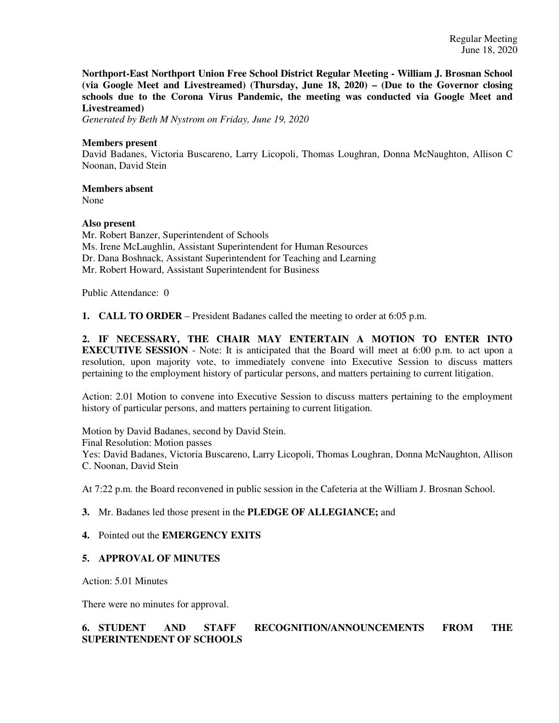**Northport-East Northport Union Free School District Regular Meeting - William J. Brosnan School (via Google Meet and Livestreamed) (Thursday, June 18, 2020) – (Due to the Governor closing schools due to the Corona Virus Pandemic, the meeting was conducted via Google Meet and Livestreamed)**

*Generated by Beth M Nystrom on Friday, June 19, 2020*

### **Members present**

David Badanes, Victoria Buscareno, Larry Licopoli, Thomas Loughran, Donna McNaughton, Allison C Noonan, David Stein

**Members absent** 

None

### **Also present**

Mr. Robert Banzer, Superintendent of Schools Ms. Irene McLaughlin, Assistant Superintendent for Human Resources Dr. Dana Boshnack, Assistant Superintendent for Teaching and Learning Mr. Robert Howard, Assistant Superintendent for Business

Public Attendance: 0

**1. CALL TO ORDER** – President Badanes called the meeting to order at 6:05 p.m.

**2. IF NECESSARY, THE CHAIR MAY ENTERTAIN A MOTION TO ENTER INTO EXECUTIVE SESSION** - Note: It is anticipated that the Board will meet at 6:00 p.m. to act upon a resolution, upon majority vote, to immediately convene into Executive Session to discuss matters pertaining to the employment history of particular persons, and matters pertaining to current litigation.

Action: 2.01 Motion to convene into Executive Session to discuss matters pertaining to the employment history of particular persons, and matters pertaining to current litigation.

Motion by David Badanes, second by David Stein. Final Resolution: Motion passes Yes: David Badanes, Victoria Buscareno, Larry Licopoli, Thomas Loughran, Donna McNaughton, Allison C. Noonan, David Stein

At 7:22 p.m. the Board reconvened in public session in the Cafeteria at the William J. Brosnan School.

### **3.** Mr. Badanes led those present in the **PLEDGE OF ALLEGIANCE;** and

### **4.** Pointed out the **EMERGENCY EXITS**

### **5. APPROVAL OF MINUTES**

Action: 5.01 Minutes

There were no minutes for approval.

# **6. STUDENT AND STAFF RECOGNITION/ANNOUNCEMENTS FROM THE SUPERINTENDENT OF SCHOOLS**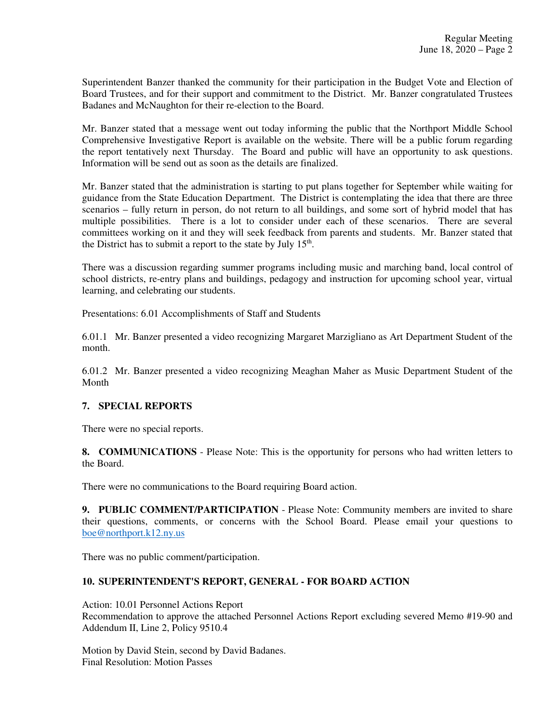Superintendent Banzer thanked the community for their participation in the Budget Vote and Election of Board Trustees, and for their support and commitment to the District. Mr. Banzer congratulated Trustees Badanes and McNaughton for their re-election to the Board.

Mr. Banzer stated that a message went out today informing the public that the Northport Middle School Comprehensive Investigative Report is available on the website. There will be a public forum regarding the report tentatively next Thursday. The Board and public will have an opportunity to ask questions. Information will be send out as soon as the details are finalized.

Mr. Banzer stated that the administration is starting to put plans together for September while waiting for guidance from the State Education Department. The District is contemplating the idea that there are three scenarios – fully return in person, do not return to all buildings, and some sort of hybrid model that has multiple possibilities. There is a lot to consider under each of these scenarios. There are several committees working on it and they will seek feedback from parents and students. Mr. Banzer stated that the District has to submit a report to the state by July  $15<sup>th</sup>$ .

There was a discussion regarding summer programs including music and marching band, local control of school districts, re-entry plans and buildings, pedagogy and instruction for upcoming school year, virtual learning, and celebrating our students.

Presentations: 6.01 Accomplishments of Staff and Students

6.01.1 Mr. Banzer presented a video recognizing Margaret Marzigliano as Art Department Student of the month.

6.01.2 Mr. Banzer presented a video recognizing Meaghan Maher as Music Department Student of the Month

### **7. SPECIAL REPORTS**

There were no special reports.

**8. COMMUNICATIONS** - Please Note: This is the opportunity for persons who had written letters to the Board.

There were no communications to the Board requiring Board action.

**9. PUBLIC COMMENT/PARTICIPATION** - Please Note: Community members are invited to share their questions, comments, or concerns with the School Board. Please email your questions to boe@northport.k12.ny.us

There was no public comment/participation.

## **10. SUPERINTENDENT'S REPORT, GENERAL - FOR BOARD ACTION**

Action: 10.01 Personnel Actions Report Recommendation to approve the attached Personnel Actions Report excluding severed Memo #19-90 and Addendum II, Line 2, Policy 9510.4

Motion by David Stein, second by David Badanes. Final Resolution: Motion Passes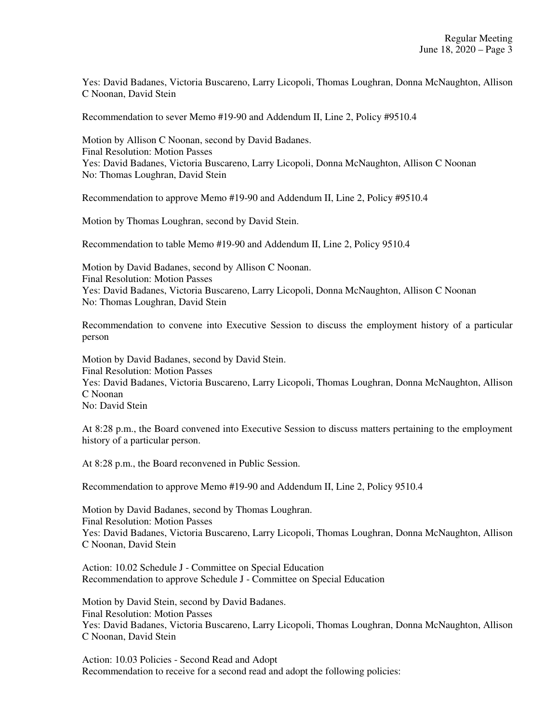Yes: David Badanes, Victoria Buscareno, Larry Licopoli, Thomas Loughran, Donna McNaughton, Allison C Noonan, David Stein

Recommendation to sever Memo #19-90 and Addendum II, Line 2, Policy #9510.4

Motion by Allison C Noonan, second by David Badanes. Final Resolution: Motion Passes Yes: David Badanes, Victoria Buscareno, Larry Licopoli, Donna McNaughton, Allison C Noonan No: Thomas Loughran, David Stein

Recommendation to approve Memo #19-90 and Addendum II, Line 2, Policy #9510.4

Motion by Thomas Loughran, second by David Stein.

Recommendation to table Memo #19-90 and Addendum II, Line 2, Policy 9510.4

Motion by David Badanes, second by Allison C Noonan. Final Resolution: Motion Passes Yes: David Badanes, Victoria Buscareno, Larry Licopoli, Donna McNaughton, Allison C Noonan No: Thomas Loughran, David Stein

Recommendation to convene into Executive Session to discuss the employment history of a particular person

Motion by David Badanes, second by David Stein. Final Resolution: Motion Passes Yes: David Badanes, Victoria Buscareno, Larry Licopoli, Thomas Loughran, Donna McNaughton, Allison C Noonan No: David Stein

At 8:28 p.m., the Board convened into Executive Session to discuss matters pertaining to the employment history of a particular person.

At 8:28 p.m., the Board reconvened in Public Session.

Recommendation to approve Memo #19-90 and Addendum II, Line 2, Policy 9510.4

Motion by David Badanes, second by Thomas Loughran. Final Resolution: Motion Passes Yes: David Badanes, Victoria Buscareno, Larry Licopoli, Thomas Loughran, Donna McNaughton, Allison C Noonan, David Stein

Action: 10.02 Schedule J - Committee on Special Education Recommendation to approve Schedule J - Committee on Special Education

Motion by David Stein, second by David Badanes. Final Resolution: Motion Passes Yes: David Badanes, Victoria Buscareno, Larry Licopoli, Thomas Loughran, Donna McNaughton, Allison C Noonan, David Stein

Action: 10.03 Policies - Second Read and Adopt Recommendation to receive for a second read and adopt the following policies: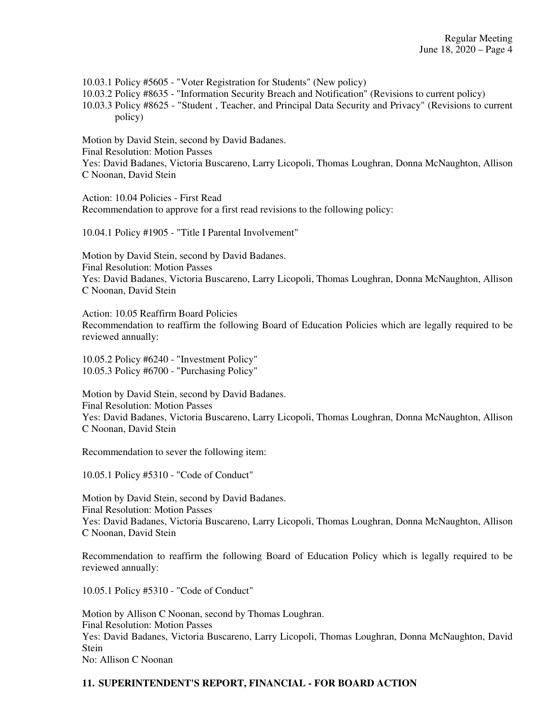10.03.1 Policy #5605 - "Voter Registration for Students" (New policy) 10.03.2 Policy #8635 - "Information Security Breach and Notification" (Revisions to current policy) 10.03.3 Policy #8625 - "Student , Teacher, and Principal Data Security and Privacy" (Revisions to current policy)

Motion by David Stein, second by David Badanes. Final Resolution: Motion Passes Yes: David Badanes, Victoria Buscareno, Larry Licopoli, Thomas Loughran, Donna McNaughton, Allison C Noonan, David Stein

Action: 10.04 Policies - First Read Recommendation to approve for a first read revisions to the following policy:

10.04.1 Policy #1905 - "Title I Parental Involvement"

Motion by David Stein, second by David Badanes. Final Resolution: Motion Passes Yes: David Badanes, Victoria Buscareno, Larry Licopoli, Thomas Loughran, Donna McNaughton, Allison C Noonan, David Stein

Action: 10.05 Reaffirm Board Policies Recommendation to reaffirm the following Board of Education Policies which are legally required to be reviewed annually:

10.05.2 Policy #6240 - "Investment Policy" 10.05.3 Policy #6700 - "Purchasing Policy"

Motion by David Stein, second by David Badanes. Final Resolution: Motion Passes Yes: David Badanes, Victoria Buscareno, Larry Licopoli, Thomas Loughran, Donna McNaughton, Allison C Noonan, David Stein

Recommendation to sever the following item:

10.05.1 Policy #5310 - "Code of Conduct"

Motion by David Stein, second by David Badanes. Final Resolution: Motion Passes Yes: David Badanes, Victoria Buscareno, Larry Licopoli, Thomas Loughran, Donna McNaughton, Allison C Noonan, David Stein

Recommendation to reaffirm the following Board of Education Policy which is legally required to be reviewed annually:

10.05.1 Policy #5310 - "Code of Conduct"

Motion by Allison C Noonan, second by Thomas Loughran. Final Resolution: Motion Passes Yes: David Badanes, Victoria Buscareno, Larry Licopoli, Thomas Loughran, Donna McNaughton, David Stein No: Allison C Noonan

# **11. SUPERINTENDENT'S REPORT, FINANCIAL - FOR BOARD ACTION**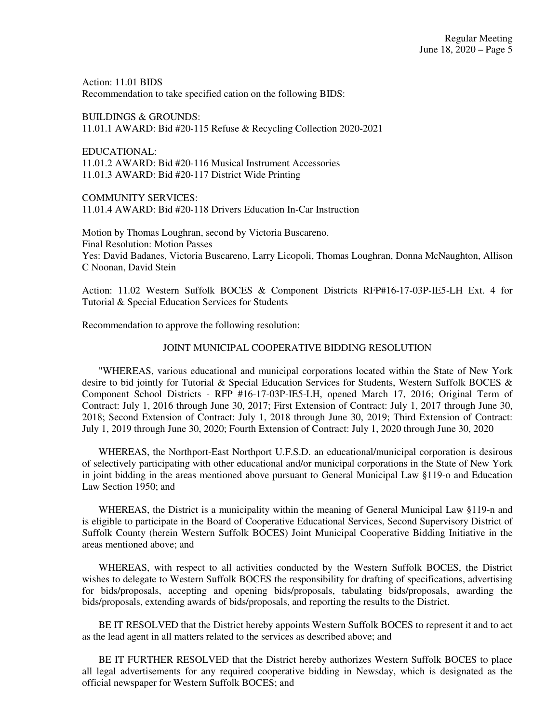Action: 11.01 BIDS Recommendation to take specified cation on the following BIDS:

BUILDINGS & GROUNDS: 11.01.1 AWARD: Bid #20-115 Refuse & Recycling Collection 2020-2021

EDUCATIONAL: 11.01.2 AWARD: Bid #20-116 Musical Instrument Accessories 11.01.3 AWARD: Bid #20-117 District Wide Printing

COMMUNITY SERVICES: 11.01.4 AWARD: Bid #20-118 Drivers Education In-Car Instruction

Motion by Thomas Loughran, second by Victoria Buscareno. Final Resolution: Motion Passes Yes: David Badanes, Victoria Buscareno, Larry Licopoli, Thomas Loughran, Donna McNaughton, Allison C Noonan, David Stein

Action: 11.02 Western Suffolk BOCES & Component Districts RFP#16-17-03P-IE5-LH Ext. 4 for Tutorial & Special Education Services for Students

Recommendation to approve the following resolution:

### JOINT MUNICIPAL COOPERATIVE BIDDING RESOLUTION

"WHEREAS, various educational and municipal corporations located within the State of New York desire to bid jointly for Tutorial & Special Education Services for Students, Western Suffolk BOCES & Component School Districts - RFP #16-17-03P-IE5-LH, opened March 17, 2016; Original Term of Contract: July 1, 2016 through June 30, 2017; First Extension of Contract: July 1, 2017 through June 30, 2018; Second Extension of Contract: July 1, 2018 through June 30, 2019; Third Extension of Contract: July 1, 2019 through June 30, 2020; Fourth Extension of Contract: July 1, 2020 through June 30, 2020

WHEREAS, the Northport-East Northport U.F.S.D. an educational/municipal corporation is desirous of selectively participating with other educational and/or municipal corporations in the State of New York in joint bidding in the areas mentioned above pursuant to General Municipal Law §119-o and Education Law Section 1950; and

WHEREAS, the District is a municipality within the meaning of General Municipal Law §119-n and is eligible to participate in the Board of Cooperative Educational Services, Second Supervisory District of Suffolk County (herein Western Suffolk BOCES) Joint Municipal Cooperative Bidding Initiative in the areas mentioned above; and

WHEREAS, with respect to all activities conducted by the Western Suffolk BOCES, the District wishes to delegate to Western Suffolk BOCES the responsibility for drafting of specifications, advertising for bids/proposals, accepting and opening bids/proposals, tabulating bids/proposals, awarding the bids/proposals, extending awards of bids/proposals, and reporting the results to the District.

BE IT RESOLVED that the District hereby appoints Western Suffolk BOCES to represent it and to act as the lead agent in all matters related to the services as described above; and

BE IT FURTHER RESOLVED that the District hereby authorizes Western Suffolk BOCES to place all legal advertisements for any required cooperative bidding in Newsday, which is designated as the official newspaper for Western Suffolk BOCES; and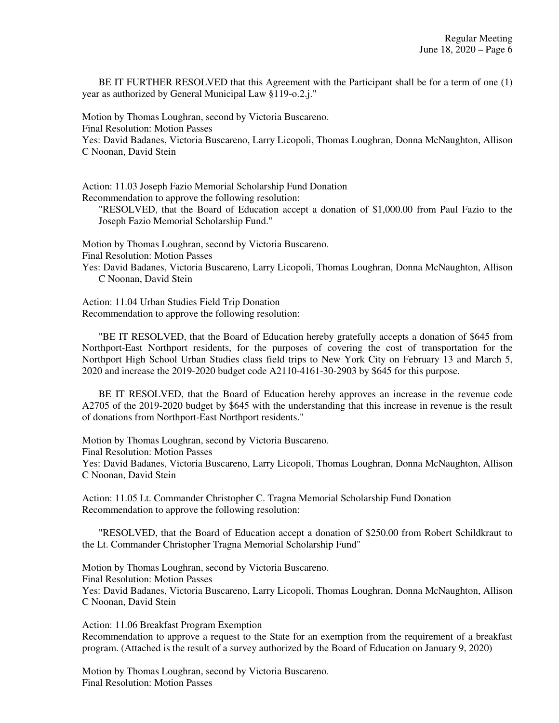BE IT FURTHER RESOLVED that this Agreement with the Participant shall be for a term of one (1) year as authorized by General Municipal Law §119-o.2.j."

Motion by Thomas Loughran, second by Victoria Buscareno. Final Resolution: Motion Passes Yes: David Badanes, Victoria Buscareno, Larry Licopoli, Thomas Loughran, Donna McNaughton, Allison C Noonan, David Stein

Action: 11.03 Joseph Fazio Memorial Scholarship Fund Donation Recommendation to approve the following resolution:

"RESOLVED, that the Board of Education accept a donation of \$1,000.00 from Paul Fazio to the Joseph Fazio Memorial Scholarship Fund."

Motion by Thomas Loughran, second by Victoria Buscareno.

Final Resolution: Motion Passes

Yes: David Badanes, Victoria Buscareno, Larry Licopoli, Thomas Loughran, Donna McNaughton, Allison C Noonan, David Stein

Action: 11.04 Urban Studies Field Trip Donation Recommendation to approve the following resolution:

 "BE IT RESOLVED, that the Board of Education hereby gratefully accepts a donation of \$645 from Northport-East Northport residents, for the purposes of covering the cost of transportation for the Northport High School Urban Studies class field trips to New York City on February 13 and March 5, 2020 and increase the 2019-2020 budget code A2110-4161-30-2903 by \$645 for this purpose.

 BE IT RESOLVED, that the Board of Education hereby approves an increase in the revenue code A2705 of the 2019-2020 budget by \$645 with the understanding that this increase in revenue is the result of donations from Northport-East Northport residents."

Motion by Thomas Loughran, second by Victoria Buscareno.

Final Resolution: Motion Passes

Yes: David Badanes, Victoria Buscareno, Larry Licopoli, Thomas Loughran, Donna McNaughton, Allison C Noonan, David Stein

Action: 11.05 Lt. Commander Christopher C. Tragna Memorial Scholarship Fund Donation Recommendation to approve the following resolution:

 "RESOLVED, that the Board of Education accept a donation of \$250.00 from Robert Schildkraut to the Lt. Commander Christopher Tragna Memorial Scholarship Fund"

Motion by Thomas Loughran, second by Victoria Buscareno. Final Resolution: Motion Passes Yes: David Badanes, Victoria Buscareno, Larry Licopoli, Thomas Loughran, Donna McNaughton, Allison C Noonan, David Stein

Action: 11.06 Breakfast Program Exemption Recommendation to approve a request to the State for an exemption from the requirement of a breakfast program. (Attached is the result of a survey authorized by the Board of Education on January 9, 2020)

Motion by Thomas Loughran, second by Victoria Buscareno. Final Resolution: Motion Passes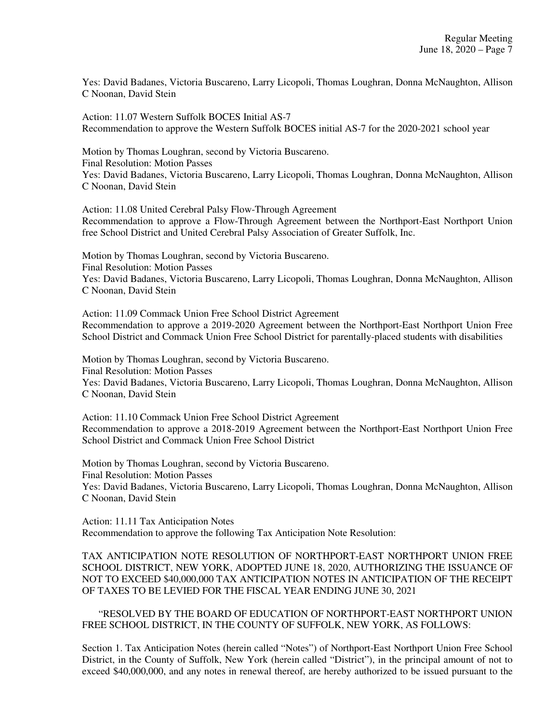Yes: David Badanes, Victoria Buscareno, Larry Licopoli, Thomas Loughran, Donna McNaughton, Allison C Noonan, David Stein

Action: 11.07 Western Suffolk BOCES Initial AS-7 Recommendation to approve the Western Suffolk BOCES initial AS-7 for the 2020-2021 school year

Motion by Thomas Loughran, second by Victoria Buscareno. Final Resolution: Motion Passes Yes: David Badanes, Victoria Buscareno, Larry Licopoli, Thomas Loughran, Donna McNaughton, Allison C Noonan, David Stein

Action: 11.08 United Cerebral Palsy Flow-Through Agreement Recommendation to approve a Flow-Through Agreement between the Northport-East Northport Union free School District and United Cerebral Palsy Association of Greater Suffolk, Inc.

Motion by Thomas Loughran, second by Victoria Buscareno. Final Resolution: Motion Passes Yes: David Badanes, Victoria Buscareno, Larry Licopoli, Thomas Loughran, Donna McNaughton, Allison C Noonan, David Stein

Action: 11.09 Commack Union Free School District Agreement Recommendation to approve a 2019-2020 Agreement between the Northport-East Northport Union Free School District and Commack Union Free School District for parentally-placed students with disabilities

Motion by Thomas Loughran, second by Victoria Buscareno. Final Resolution: Motion Passes Yes: David Badanes, Victoria Buscareno, Larry Licopoli, Thomas Loughran, Donna McNaughton, Allison C Noonan, David Stein

Action: 11.10 Commack Union Free School District Agreement Recommendation to approve a 2018-2019 Agreement between the Northport-East Northport Union Free School District and Commack Union Free School District

Motion by Thomas Loughran, second by Victoria Buscareno. Final Resolution: Motion Passes Yes: David Badanes, Victoria Buscareno, Larry Licopoli, Thomas Loughran, Donna McNaughton, Allison C Noonan, David Stein

Action: 11.11 Tax Anticipation Notes Recommendation to approve the following Tax Anticipation Note Resolution:

TAX ANTICIPATION NOTE RESOLUTION OF NORTHPORT-EAST NORTHPORT UNION FREE SCHOOL DISTRICT, NEW YORK, ADOPTED JUNE 18, 2020, AUTHORIZING THE ISSUANCE OF NOT TO EXCEED \$40,000,000 TAX ANTICIPATION NOTES IN ANTICIPATION OF THE RECEIPT OF TAXES TO BE LEVIED FOR THE FISCAL YEAR ENDING JUNE 30, 2021

 "RESOLVED BY THE BOARD OF EDUCATION OF NORTHPORT-EAST NORTHPORT UNION FREE SCHOOL DISTRICT, IN THE COUNTY OF SUFFOLK, NEW YORK, AS FOLLOWS:

Section 1. Tax Anticipation Notes (herein called "Notes") of Northport-East Northport Union Free School District, in the County of Suffolk, New York (herein called "District"), in the principal amount of not to exceed \$40,000,000, and any notes in renewal thereof, are hereby authorized to be issued pursuant to the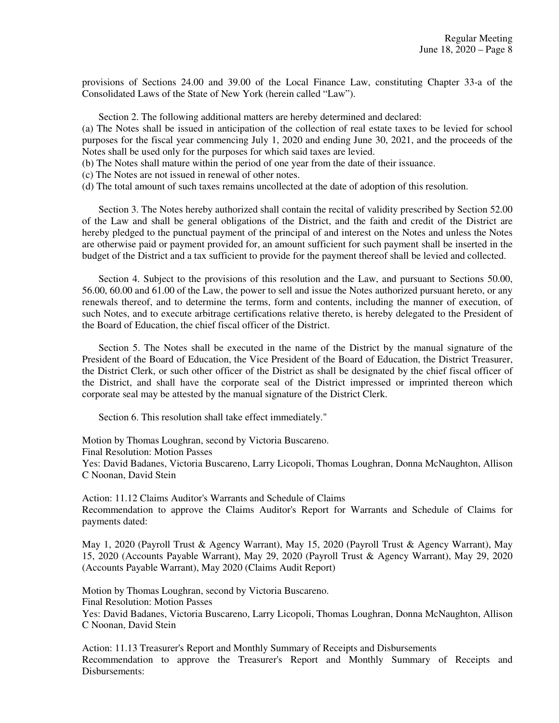provisions of Sections 24.00 and 39.00 of the Local Finance Law, constituting Chapter 33-a of the Consolidated Laws of the State of New York (herein called "Law").

Section 2. The following additional matters are hereby determined and declared:

(a) The Notes shall be issued in anticipation of the collection of real estate taxes to be levied for school purposes for the fiscal year commencing July 1, 2020 and ending June 30, 2021, and the proceeds of the Notes shall be used only for the purposes for which said taxes are levied.

- (b) The Notes shall mature within the period of one year from the date of their issuance.
- (c) The Notes are not issued in renewal of other notes.
- (d) The total amount of such taxes remains uncollected at the date of adoption of this resolution.

 Section 3. The Notes hereby authorized shall contain the recital of validity prescribed by Section 52.00 of the Law and shall be general obligations of the District, and the faith and credit of the District are hereby pledged to the punctual payment of the principal of and interest on the Notes and unless the Notes are otherwise paid or payment provided for, an amount sufficient for such payment shall be inserted in the budget of the District and a tax sufficient to provide for the payment thereof shall be levied and collected.

 Section 4. Subject to the provisions of this resolution and the Law, and pursuant to Sections 50.00, 56.00, 60.00 and 61.00 of the Law, the power to sell and issue the Notes authorized pursuant hereto, or any renewals thereof, and to determine the terms, form and contents, including the manner of execution, of such Notes, and to execute arbitrage certifications relative thereto, is hereby delegated to the President of the Board of Education, the chief fiscal officer of the District.

 Section 5. The Notes shall be executed in the name of the District by the manual signature of the President of the Board of Education, the Vice President of the Board of Education, the District Treasurer, the District Clerk, or such other officer of the District as shall be designated by the chief fiscal officer of the District, and shall have the corporate seal of the District impressed or imprinted thereon which corporate seal may be attested by the manual signature of the District Clerk.

Section 6. This resolution shall take effect immediately."

Motion by Thomas Loughran, second by Victoria Buscareno.

Final Resolution: Motion Passes

Yes: David Badanes, Victoria Buscareno, Larry Licopoli, Thomas Loughran, Donna McNaughton, Allison C Noonan, David Stein

Action: 11.12 Claims Auditor's Warrants and Schedule of Claims Recommendation to approve the Claims Auditor's Report for Warrants and Schedule of Claims for payments dated:

May 1, 2020 (Payroll Trust & Agency Warrant), May 15, 2020 (Payroll Trust & Agency Warrant), May 15, 2020 (Accounts Payable Warrant), May 29, 2020 (Payroll Trust & Agency Warrant), May 29, 2020 (Accounts Payable Warrant), May 2020 (Claims Audit Report)

Motion by Thomas Loughran, second by Victoria Buscareno.

Final Resolution: Motion Passes

Yes: David Badanes, Victoria Buscareno, Larry Licopoli, Thomas Loughran, Donna McNaughton, Allison C Noonan, David Stein

Action: 11.13 Treasurer's Report and Monthly Summary of Receipts and Disbursements Recommendation to approve the Treasurer's Report and Monthly Summary of Receipts and Disbursements: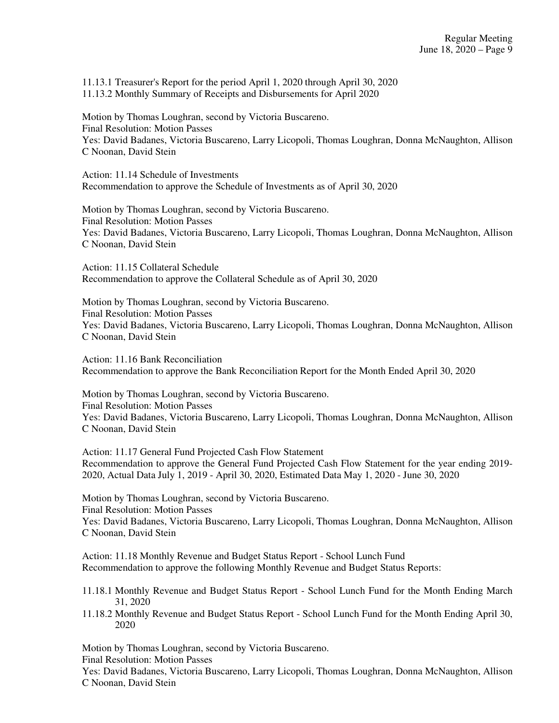11.13.1 Treasurer's Report for the period April 1, 2020 through April 30, 2020 11.13.2 Monthly Summary of Receipts and Disbursements for April 2020

Motion by Thomas Loughran, second by Victoria Buscareno. Final Resolution: Motion Passes Yes: David Badanes, Victoria Buscareno, Larry Licopoli, Thomas Loughran, Donna McNaughton, Allison C Noonan, David Stein

Action: 11.14 Schedule of Investments Recommendation to approve the Schedule of Investments as of April 30, 2020

Motion by Thomas Loughran, second by Victoria Buscareno. Final Resolution: Motion Passes Yes: David Badanes, Victoria Buscareno, Larry Licopoli, Thomas Loughran, Donna McNaughton, Allison C Noonan, David Stein

Action: 11.15 Collateral Schedule Recommendation to approve the Collateral Schedule as of April 30, 2020

Motion by Thomas Loughran, second by Victoria Buscareno. Final Resolution: Motion Passes Yes: David Badanes, Victoria Buscareno, Larry Licopoli, Thomas Loughran, Donna McNaughton, Allison C Noonan, David Stein

Action: 11.16 Bank Reconciliation Recommendation to approve the Bank Reconciliation Report for the Month Ended April 30, 2020

Motion by Thomas Loughran, second by Victoria Buscareno. Final Resolution: Motion Passes Yes: David Badanes, Victoria Buscareno, Larry Licopoli, Thomas Loughran, Donna McNaughton, Allison C Noonan, David Stein

Action: 11.17 General Fund Projected Cash Flow Statement Recommendation to approve the General Fund Projected Cash Flow Statement for the year ending 2019- 2020, Actual Data July 1, 2019 - April 30, 2020, Estimated Data May 1, 2020 - June 30, 2020

Motion by Thomas Loughran, second by Victoria Buscareno. Final Resolution: Motion Passes Yes: David Badanes, Victoria Buscareno, Larry Licopoli, Thomas Loughran, Donna McNaughton, Allison C Noonan, David Stein

Action: 11.18 Monthly Revenue and Budget Status Report - School Lunch Fund Recommendation to approve the following Monthly Revenue and Budget Status Reports:

- 11.18.1 Monthly Revenue and Budget Status Report School Lunch Fund for the Month Ending March 31, 2020
- 11.18.2 Monthly Revenue and Budget Status Report School Lunch Fund for the Month Ending April 30, 2020

Motion by Thomas Loughran, second by Victoria Buscareno. Final Resolution: Motion Passes

Yes: David Badanes, Victoria Buscareno, Larry Licopoli, Thomas Loughran, Donna McNaughton, Allison C Noonan, David Stein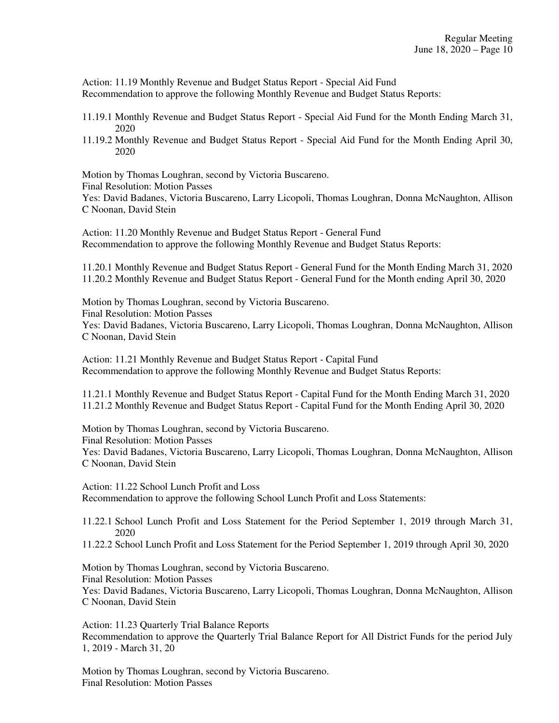Action: 11.19 Monthly Revenue and Budget Status Report - Special Aid Fund Recommendation to approve the following Monthly Revenue and Budget Status Reports:

- 11.19.1 Monthly Revenue and Budget Status Report Special Aid Fund for the Month Ending March 31, 2020
- 11.19.2 Monthly Revenue and Budget Status Report Special Aid Fund for the Month Ending April 30, 2020

Motion by Thomas Loughran, second by Victoria Buscareno.

Final Resolution: Motion Passes

Yes: David Badanes, Victoria Buscareno, Larry Licopoli, Thomas Loughran, Donna McNaughton, Allison C Noonan, David Stein

Action: 11.20 Monthly Revenue and Budget Status Report - General Fund Recommendation to approve the following Monthly Revenue and Budget Status Reports:

11.20.1 Monthly Revenue and Budget Status Report - General Fund for the Month Ending March 31, 2020 11.20.2 Monthly Revenue and Budget Status Report - General Fund for the Month ending April 30, 2020

Motion by Thomas Loughran, second by Victoria Buscareno. Final Resolution: Motion Passes Yes: David Badanes, Victoria Buscareno, Larry Licopoli, Thomas Loughran, Donna McNaughton, Allison C Noonan, David Stein

Action: 11.21 Monthly Revenue and Budget Status Report - Capital Fund Recommendation to approve the following Monthly Revenue and Budget Status Reports:

11.21.1 Monthly Revenue and Budget Status Report - Capital Fund for the Month Ending March 31, 2020 11.21.2 Monthly Revenue and Budget Status Report - Capital Fund for the Month Ending April 30, 2020

Motion by Thomas Loughran, second by Victoria Buscareno. Final Resolution: Motion Passes Yes: David Badanes, Victoria Buscareno, Larry Licopoli, Thomas Loughran, Donna McNaughton, Allison C Noonan, David Stein

Action: 11.22 School Lunch Profit and Loss Recommendation to approve the following School Lunch Profit and Loss Statements:

11.22.1 School Lunch Profit and Loss Statement for the Period September 1, 2019 through March 31, 2020

11.22.2 School Lunch Profit and Loss Statement for the Period September 1, 2019 through April 30, 2020

Motion by Thomas Loughran, second by Victoria Buscareno. Final Resolution: Motion Passes Yes: David Badanes, Victoria Buscareno, Larry Licopoli, Thomas Loughran, Donna McNaughton, Allison C Noonan, David Stein

Action: 11.23 Quarterly Trial Balance Reports Recommendation to approve the Quarterly Trial Balance Report for All District Funds for the period July 1, 2019 - March 31, 20

Motion by Thomas Loughran, second by Victoria Buscareno. Final Resolution: Motion Passes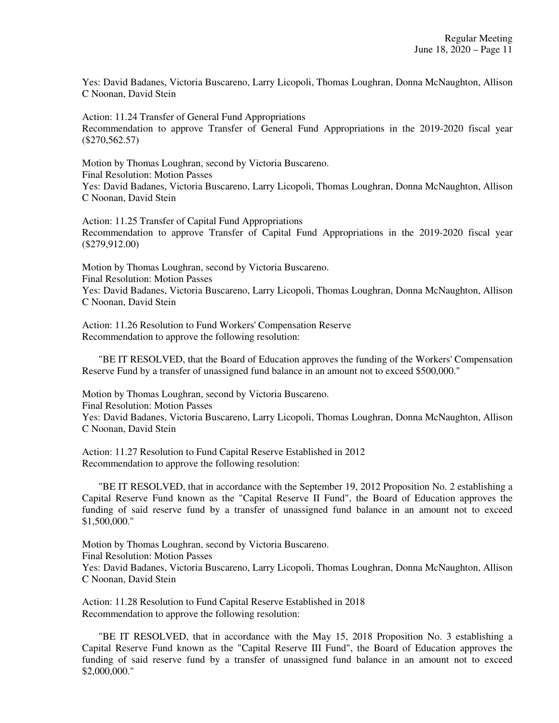Yes: David Badanes, Victoria Buscareno, Larry Licopoli, Thomas Loughran, Donna McNaughton, Allison C Noonan, David Stein

Action: 11.24 Transfer of General Fund Appropriations Recommendation to approve Transfer of General Fund Appropriations in the 2019-2020 fiscal year (\$270,562.57)

Motion by Thomas Loughran, second by Victoria Buscareno. Final Resolution: Motion Passes Yes: David Badanes, Victoria Buscareno, Larry Licopoli, Thomas Loughran, Donna McNaughton, Allison C Noonan, David Stein

Action: 11.25 Transfer of Capital Fund Appropriations Recommendation to approve Transfer of Capital Fund Appropriations in the 2019-2020 fiscal year (\$279,912.00)

Motion by Thomas Loughran, second by Victoria Buscareno. Final Resolution: Motion Passes Yes: David Badanes, Victoria Buscareno, Larry Licopoli, Thomas Loughran, Donna McNaughton, Allison C Noonan, David Stein

Action: 11.26 Resolution to Fund Workers' Compensation Reserve Recommendation to approve the following resolution:

 "BE IT RESOLVED, that the Board of Education approves the funding of the Workers' Compensation Reserve Fund by a transfer of unassigned fund balance in an amount not to exceed \$500,000."

Motion by Thomas Loughran, second by Victoria Buscareno. Final Resolution: Motion Passes Yes: David Badanes, Victoria Buscareno, Larry Licopoli, Thomas Loughran, Donna McNaughton, Allison C Noonan, David Stein

Action: 11.27 Resolution to Fund Capital Reserve Established in 2012 Recommendation to approve the following resolution:

 "BE IT RESOLVED, that in accordance with the September 19, 2012 Proposition No. 2 establishing a Capital Reserve Fund known as the "Capital Reserve II Fund", the Board of Education approves the funding of said reserve fund by a transfer of unassigned fund balance in an amount not to exceed \$1,500,000."

Motion by Thomas Loughran, second by Victoria Buscareno. Final Resolution: Motion Passes Yes: David Badanes, Victoria Buscareno, Larry Licopoli, Thomas Loughran, Donna McNaughton, Allison C Noonan, David Stein

Action: 11.28 Resolution to Fund Capital Reserve Established in 2018 Recommendation to approve the following resolution:

 "BE IT RESOLVED, that in accordance with the May 15, 2018 Proposition No. 3 establishing a Capital Reserve Fund known as the "Capital Reserve III Fund", the Board of Education approves the funding of said reserve fund by a transfer of unassigned fund balance in an amount not to exceed \$2,000,000."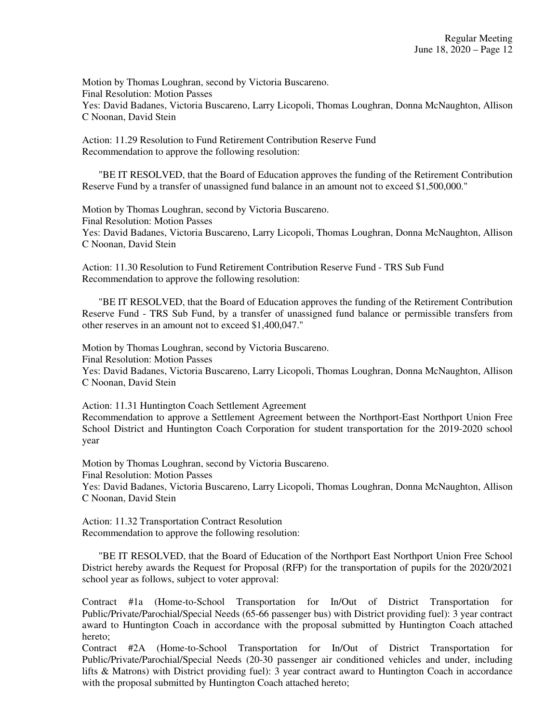Motion by Thomas Loughran, second by Victoria Buscareno. Final Resolution: Motion Passes Yes: David Badanes, Victoria Buscareno, Larry Licopoli, Thomas Loughran, Donna McNaughton, Allison C Noonan, David Stein

Action: 11.29 Resolution to Fund Retirement Contribution Reserve Fund Recommendation to approve the following resolution:

 "BE IT RESOLVED, that the Board of Education approves the funding of the Retirement Contribution Reserve Fund by a transfer of unassigned fund balance in an amount not to exceed \$1,500,000."

Motion by Thomas Loughran, second by Victoria Buscareno. Final Resolution: Motion Passes Yes: David Badanes, Victoria Buscareno, Larry Licopoli, Thomas Loughran, Donna McNaughton, Allison C Noonan, David Stein

Action: 11.30 Resolution to Fund Retirement Contribution Reserve Fund - TRS Sub Fund Recommendation to approve the following resolution:

 "BE IT RESOLVED, that the Board of Education approves the funding of the Retirement Contribution Reserve Fund - TRS Sub Fund, by a transfer of unassigned fund balance or permissible transfers from other reserves in an amount not to exceed \$1,400,047."

Motion by Thomas Loughran, second by Victoria Buscareno.

Final Resolution: Motion Passes

Yes: David Badanes, Victoria Buscareno, Larry Licopoli, Thomas Loughran, Donna McNaughton, Allison C Noonan, David Stein

Action: 11.31 Huntington Coach Settlement Agreement

Recommendation to approve a Settlement Agreement between the Northport-East Northport Union Free School District and Huntington Coach Corporation for student transportation for the 2019-2020 school year

Motion by Thomas Loughran, second by Victoria Buscareno. Final Resolution: Motion Passes Yes: David Badanes, Victoria Buscareno, Larry Licopoli, Thomas Loughran, Donna McNaughton, Allison C Noonan, David Stein

Action: 11.32 Transportation Contract Resolution Recommendation to approve the following resolution:

 "BE IT RESOLVED, that the Board of Education of the Northport East Northport Union Free School District hereby awards the Request for Proposal (RFP) for the transportation of pupils for the 2020/2021 school year as follows, subject to voter approval:

Contract #1a (Home-to-School Transportation for In/Out of District Transportation for Public/Private/Parochial/Special Needs (65-66 passenger bus) with District providing fuel): 3 year contract award to Huntington Coach in accordance with the proposal submitted by Huntington Coach attached hereto;

Contract #2A (Home-to-School Transportation for In/Out of District Transportation for Public/Private/Parochial/Special Needs (20-30 passenger air conditioned vehicles and under, including lifts & Matrons) with District providing fuel): 3 year contract award to Huntington Coach in accordance with the proposal submitted by Huntington Coach attached hereto;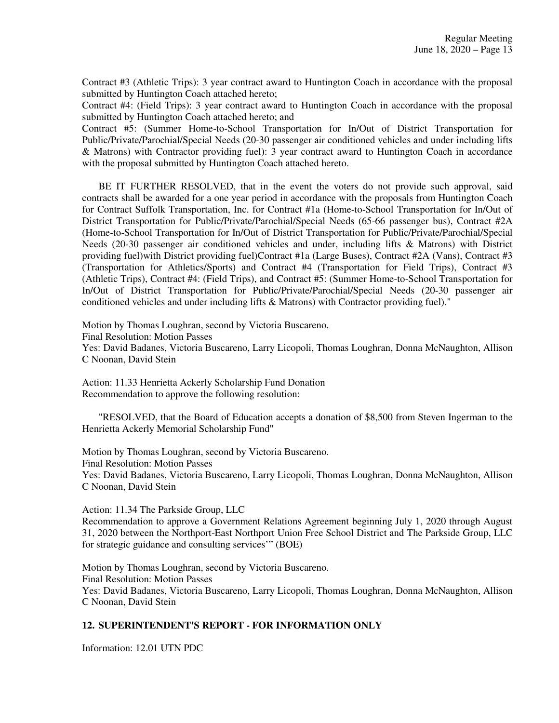Contract #3 (Athletic Trips): 3 year contract award to Huntington Coach in accordance with the proposal submitted by Huntington Coach attached hereto;

Contract #4: (Field Trips): 3 year contract award to Huntington Coach in accordance with the proposal submitted by Huntington Coach attached hereto; and

Contract #5: (Summer Home-to-School Transportation for In/Out of District Transportation for Public/Private/Parochial/Special Needs (20-30 passenger air conditioned vehicles and under including lifts & Matrons) with Contractor providing fuel): 3 year contract award to Huntington Coach in accordance with the proposal submitted by Huntington Coach attached hereto.

 BE IT FURTHER RESOLVED, that in the event the voters do not provide such approval, said contracts shall be awarded for a one year period in accordance with the proposals from Huntington Coach for Contract Suffolk Transportation, Inc. for Contract #1a (Home-to-School Transportation for In/Out of District Transportation for Public/Private/Parochial/Special Needs (65-66 passenger bus), Contract #2A (Home-to-School Transportation for In/Out of District Transportation for Public/Private/Parochial/Special Needs (20-30 passenger air conditioned vehicles and under, including lifts & Matrons) with District providing fuel)with District providing fuel)Contract #1a (Large Buses), Contract #2A (Vans), Contract #3 (Transportation for Athletics/Sports) and Contract #4 (Transportation for Field Trips), Contract #3 (Athletic Trips), Contract #4: (Field Trips), and Contract #5: (Summer Home-to-School Transportation for In/Out of District Transportation for Public/Private/Parochial/Special Needs (20-30 passenger air conditioned vehicles and under including lifts & Matrons) with Contractor providing fuel)."

Motion by Thomas Loughran, second by Victoria Buscareno.

Final Resolution: Motion Passes

Yes: David Badanes, Victoria Buscareno, Larry Licopoli, Thomas Loughran, Donna McNaughton, Allison C Noonan, David Stein

Action: 11.33 Henrietta Ackerly Scholarship Fund Donation Recommendation to approve the following resolution:

 "RESOLVED, that the Board of Education accepts a donation of \$8,500 from Steven Ingerman to the Henrietta Ackerly Memorial Scholarship Fund"

Motion by Thomas Loughran, second by Victoria Buscareno. Final Resolution: Motion Passes

Yes: David Badanes, Victoria Buscareno, Larry Licopoli, Thomas Loughran, Donna McNaughton, Allison C Noonan, David Stein

Action: 11.34 The Parkside Group, LLC

Recommendation to approve a Government Relations Agreement beginning July 1, 2020 through August 31, 2020 between the Northport-East Northport Union Free School District and The Parkside Group, LLC for strategic guidance and consulting services'" (BOE)

Motion by Thomas Loughran, second by Victoria Buscareno. Final Resolution: Motion Passes Yes: David Badanes, Victoria Buscareno, Larry Licopoli, Thomas Loughran, Donna McNaughton, Allison C Noonan, David Stein

# **12. SUPERINTENDENT'S REPORT - FOR INFORMATION ONLY**

Information: 12.01 UTN PDC